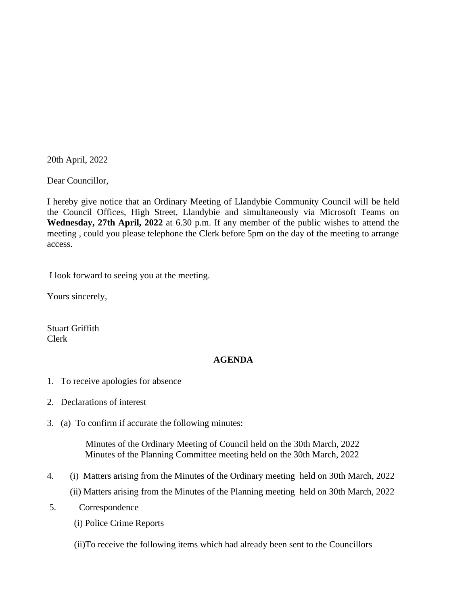20th April, 2022

Dear Councillor,

I hereby give notice that an Ordinary Meeting of Llandybie Community Council will be held the Council Offices, High Street, Llandybie and simultaneously via Microsoft Teams on **Wednesday, 27th April, 2022** at 6.30 p.m. If any member of the public wishes to attend the meeting , could you please telephone the Clerk before 5pm on the day of the meeting to arrange access.

I look forward to seeing you at the meeting.

Yours sincerely,

Stuart Griffith Clerk

## **AGENDA**

- 1. To receive apologies for absence
- 2. Declarations of interest
- 3. (a) To confirm if accurate the following minutes:

 Minutes of the Ordinary Meeting of Council held on the 30th March, 2022 Minutes of the Planning Committee meeting held on the 30th March, 2022

- 4. (i) Matters arising from the Minutes of the Ordinary meeting held on 30th March, 2022 (ii) Matters arising from the Minutes of the Planning meeting held on 30th March, 2022
- 5. Correspondence
	- (i) Police Crime Reports
	- (ii)To receive the following items which had already been sent to the Councillors